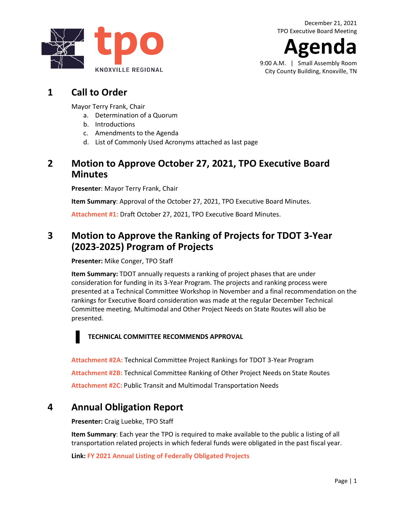**Agenda**

9:00 A.M. | Small Assembly Room City County Building, Knoxville, TN

# **1 Call to Order**

Mayor Terry Frank, Chair

- a. Determination of a Quorum
- b. Introductions
- c. Amendments to the Agenda
- d. List of Commonly Used Acronyms attached as last page

## **2 Motion to Approve October 27, 2021, TPO Executive Board Minutes**

**Presenter**: Mayor Terry Frank, Chair

**Item Summary**: Approval of the October 27, 2021, TPO Executive Board Minutes.

**[Attachment #1:](https://knoxtpo.org/home/meetings/exec/minutes/2021/october.pdf)** Draft October 27, 2021, TPO Executive Board Minutes.

# **3 Motion to Approve the Ranking of Projects for TDOT 3-Year (2023-2025) Program of Projects**

**Presenter:** Mike Conger, TPO Staff

**Item Summary:** TDOT annually requests a ranking of project phases that are under consideration for funding in its 3-Year Program. The projects and ranking process were presented at a Technical Committee Workshop in November and a final recommendation on the rankings for Executive Board consideration was made at the regular December Technical Committee meeting. Multimodal and Other Project Needs on State Routes will also be presented.

#### **TECHNICAL COMMITTEE RECOMMENDS APPROVAL**

**[Attachment #2A:](https://knoxtpo.org/home/meetings/exec/agendas/2021/december/2a.pdf)** Technical Committee Project Rankings for TDOT 3-Year Program **[Attachment #2B:](https://knoxtpo.org/home/meetings/exec/agendas/2021/december/2b.pdf)** Technical Committee Ranking of Other Project Needs on State Routes **[Attachment #2C:](https://knoxtpo.org/home/meetings/exec/agendas/2021/december/2c.pdf)** Public Transit and Multimodal Transportation Needs

# **4 Annual Obligation Report**

**Presenter:** Craig Luebke, TPO Staff

**Item Summary**: Each year the TPO is required to make available to the public a listing of all transportation related projects in which federal funds were obligated in the past fiscal year.

**Link: [FY 2021 Annual Listing of Federally Obligated Projects](https://knoxtpo.org/wp-content/uploads/2021/11/2021-Federally-Obligated-Projects.pdf)**